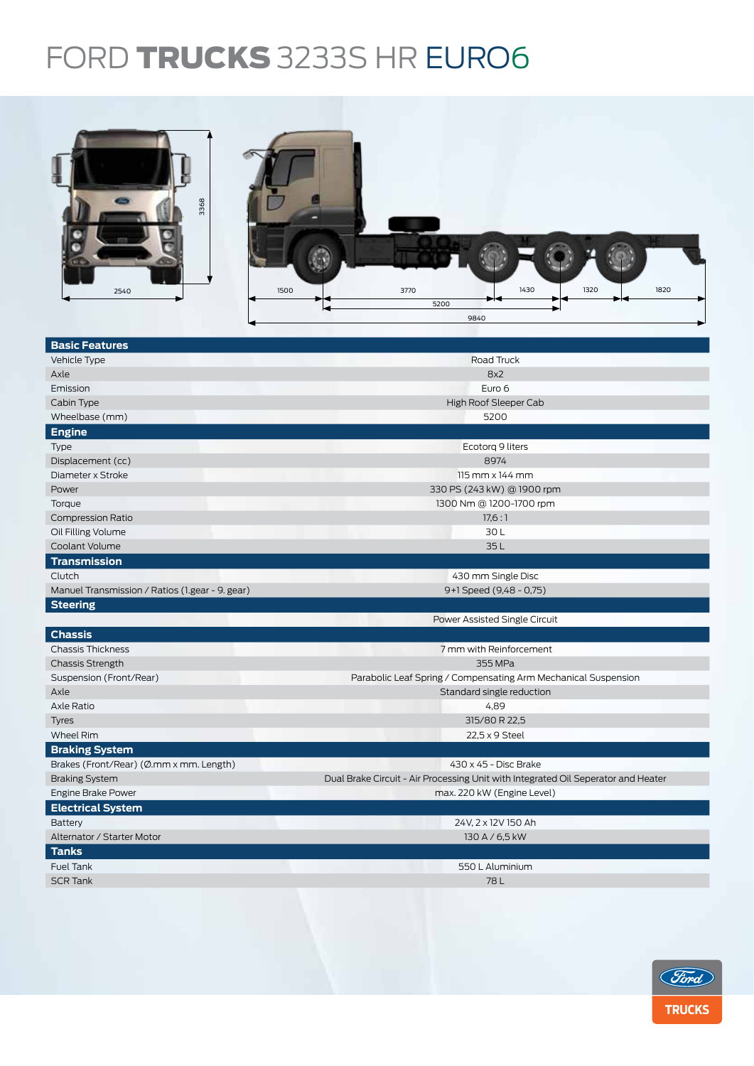## FORD **TRUCKS** 3233S HR EURO6



| Road Truck<br>Vehicle Type<br>8x2<br>Axle<br>Emission<br>Euro 6<br>High Roof Sleeper Cab<br>Cabin Type<br>Wheelbase (mm)<br>5200<br><b>Engine</b><br>Ecotorg 9 liters<br>Type<br>8974<br>Displacement (cc)<br>Diameter x Stroke<br>$115$ mm $\times$ 144 mm<br>330 PS (243 kW) @ 1900 rpm<br>Power | <b>Basic Features</b> |  |  |  |  |  |
|----------------------------------------------------------------------------------------------------------------------------------------------------------------------------------------------------------------------------------------------------------------------------------------------------|-----------------------|--|--|--|--|--|
|                                                                                                                                                                                                                                                                                                    |                       |  |  |  |  |  |
|                                                                                                                                                                                                                                                                                                    |                       |  |  |  |  |  |
|                                                                                                                                                                                                                                                                                                    |                       |  |  |  |  |  |
|                                                                                                                                                                                                                                                                                                    |                       |  |  |  |  |  |
|                                                                                                                                                                                                                                                                                                    |                       |  |  |  |  |  |
|                                                                                                                                                                                                                                                                                                    |                       |  |  |  |  |  |
|                                                                                                                                                                                                                                                                                                    |                       |  |  |  |  |  |
|                                                                                                                                                                                                                                                                                                    |                       |  |  |  |  |  |
|                                                                                                                                                                                                                                                                                                    |                       |  |  |  |  |  |
|                                                                                                                                                                                                                                                                                                    |                       |  |  |  |  |  |
| Torque<br>1300 Nm @ 1200-1700 rpm                                                                                                                                                                                                                                                                  |                       |  |  |  |  |  |
| 17,6:1<br><b>Compression Ratio</b>                                                                                                                                                                                                                                                                 |                       |  |  |  |  |  |
| 30L<br>Oil Filling Volume                                                                                                                                                                                                                                                                          |                       |  |  |  |  |  |
| Coolant Volume<br>35L                                                                                                                                                                                                                                                                              |                       |  |  |  |  |  |
| <b>Transmission</b>                                                                                                                                                                                                                                                                                |                       |  |  |  |  |  |
| 430 mm Single Disc<br>Clutch                                                                                                                                                                                                                                                                       |                       |  |  |  |  |  |
| Manuel Transmission / Ratios (1.gear - 9. gear)<br>9+1 Speed (9,48 - 0,75)                                                                                                                                                                                                                         |                       |  |  |  |  |  |
| <b>Steering</b>                                                                                                                                                                                                                                                                                    |                       |  |  |  |  |  |
| Power Assisted Single Circuit                                                                                                                                                                                                                                                                      |                       |  |  |  |  |  |
| <b>Chassis</b>                                                                                                                                                                                                                                                                                     |                       |  |  |  |  |  |
| <b>Chassis Thickness</b><br>7 mm with Reinforcement                                                                                                                                                                                                                                                |                       |  |  |  |  |  |
| 355 MPa<br><b>Chassis Strength</b>                                                                                                                                                                                                                                                                 |                       |  |  |  |  |  |
| Parabolic Leaf Spring / Compensating Arm Mechanical Suspension<br>Suspension (Front/Rear)                                                                                                                                                                                                          |                       |  |  |  |  |  |
| Axle<br>Standard single reduction                                                                                                                                                                                                                                                                  |                       |  |  |  |  |  |
| Axle Ratio<br>4,89                                                                                                                                                                                                                                                                                 |                       |  |  |  |  |  |
| 315/80 R 22,5<br><b>Tyres</b>                                                                                                                                                                                                                                                                      |                       |  |  |  |  |  |
| Wheel Rim<br>22,5 x 9 Steel                                                                                                                                                                                                                                                                        |                       |  |  |  |  |  |
| <b>Braking System</b>                                                                                                                                                                                                                                                                              |                       |  |  |  |  |  |
| Brakes (Front/Rear) (Ø.mm x mm. Length)<br>430 x 45 - Disc Brake                                                                                                                                                                                                                                   |                       |  |  |  |  |  |
| Dual Brake Circuit - Air Processing Unit with Integrated Oil Seperator and Heater<br><b>Braking System</b>                                                                                                                                                                                         |                       |  |  |  |  |  |
| Engine Brake Power<br>max. 220 kW (Engine Level)                                                                                                                                                                                                                                                   |                       |  |  |  |  |  |
| <b>Electrical System</b>                                                                                                                                                                                                                                                                           |                       |  |  |  |  |  |
| Battery<br>24V, 2 x 12V 150 Ah                                                                                                                                                                                                                                                                     |                       |  |  |  |  |  |
| Alternator / Starter Motor<br>130 A / 6,5 kW                                                                                                                                                                                                                                                       |                       |  |  |  |  |  |
| <b>Tanks</b>                                                                                                                                                                                                                                                                                       |                       |  |  |  |  |  |
| Fuel Tank<br>550 L Aluminium                                                                                                                                                                                                                                                                       |                       |  |  |  |  |  |
| <b>SCR Tank</b><br>78L                                                                                                                                                                                                                                                                             |                       |  |  |  |  |  |
|                                                                                                                                                                                                                                                                                                    |                       |  |  |  |  |  |